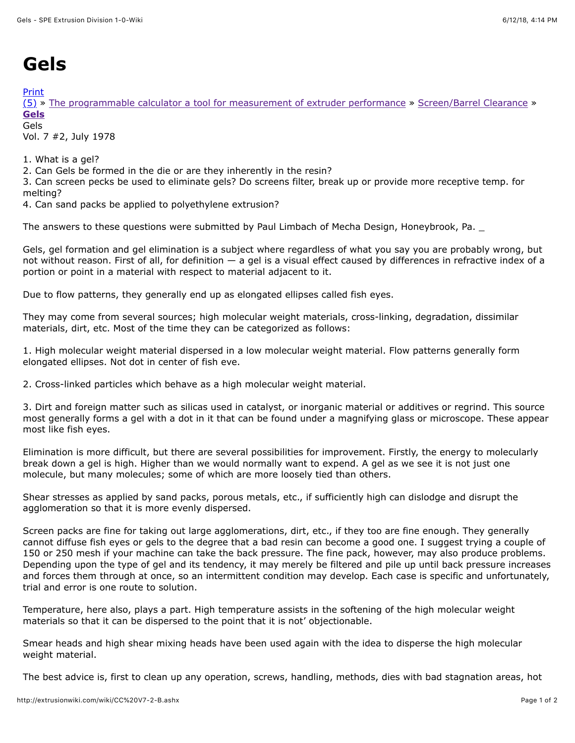## **Gels**

[Print](http://extrusionwiki.com/wiki/Print.aspx?Page=CC%20V7-2-B)

[\(5\)](http://extrusionwiki.com/wiki/CC%20V7-2-B.ashx#) » [The programmable calculator a tool for measurement of extruder performance](http://extrusionwiki.com/wiki/CC%20V7-1.ashx) » [Screen/Barrel Clearance](http://extrusionwiki.com/wiki/CC%20V7-2-A.ashx) » **[Gels](http://extrusionwiki.com/wiki/CC%20V7-2-B.ashx)**

Gels Vol. 7 #2, July 1978

1. What is a gel?

2. Can Gels be formed in the die or are they inherently in the resin?

3. Can screen pecks be used to eliminate gels? Do screens filter, break up or provide more receptive temp. for melting?

4. Can sand packs be applied to polyethylene extrusion?

The answers to these questions were submitted by Paul Limbach of Mecha Design, Honeybrook, Pa. \_

Gels, gel formation and gel elimination is a subject where regardless of what you say you are probably wrong, but not without reason. First of all, for definition — a gel is a visual effect caused by differences in refractive index of a portion or point in a material with respect to material adjacent to it.

Due to flow patterns, they generally end up as elongated ellipses called fish eyes.

They may come from several sources; high molecular weight materials, cross-linking, degradation, dissimilar materials, dirt, etc. Most of the time they can be categorized as follows:

1. High molecular weight material dispersed in a low molecular weight material. Flow patterns generally form elongated ellipses. Not dot in center of fish eve.

2. Cross-linked particles which behave as a high molecular weight material.

3. Dirt and foreign matter such as silicas used in catalyst, or inorganic material or additives or regrind. This source most generally forms a gel with a dot in it that can be found under a magnifying glass or microscope. These appear most like fish eyes.

Elimination is more difficult, but there are several possibilities for improvement. Firstly, the energy to molecularly break down a gel is high. Higher than we would normally want to expend. A gel as we see it is not just one molecule, but many molecules; some of which are more loosely tied than others.

Shear stresses as applied by sand packs, porous metals, etc., if sufficiently high can dislodge and disrupt the agglomeration so that it is more evenly dispersed.

Screen packs are fine for taking out large agglomerations, dirt, etc., if they too are fine enough. They generally cannot diffuse fish eyes or gels to the degree that a bad resin can become a good one. I suggest trying a couple of 150 or 250 mesh if your machine can take the back pressure. The fine pack, however, may also produce problems. Depending upon the type of gel and its tendency, it may merely be filtered and pile up until back pressure increases and forces them through at once, so an intermittent condition may develop. Each case is specific and unfortunately, trial and error is one route to solution.

Temperature, here also, plays a part. High temperature assists in the softening of the high molecular weight materials so that it can be dispersed to the point that it is not' objectionable.

Smear heads and high shear mixing heads have been used again with the idea to disperse the high molecular weight material.

The best advice is, first to clean up any operation, screws, handling, methods, dies with bad stagnation areas, hot